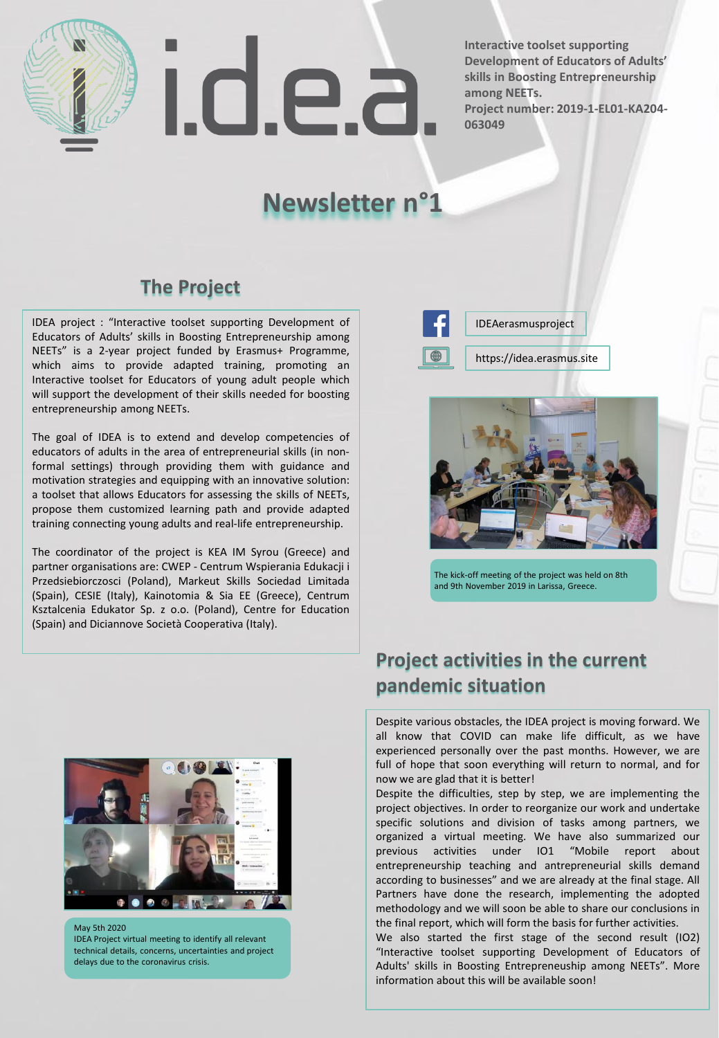

I.d.e.a

**Interactive toolset supporting Development of Educators of Adults' skills in Boosting Entrepreneurship among NEETs. Project number: 2019-1-EL01-KA204- 063049**

# **Newsletter n°1**

## **The Project**

IDEA project : "Interactive toolset supporting Development of Educators of Adults' skills in Boosting Entrepreneurship among NEETs" is a 2-year project funded by Erasmus+ Programme, which aims to provide adapted training, promoting an Interactive toolset for Educators of young adult people which will support the development of their skills needed for boosting entrepreneurship among NEETs.

The goal of IDEA is to extend and develop competencies of educators of adults in the area of entrepreneurial skills (in nonformal settings) through providing them with guidance and motivation strategies and equipping with an innovative solution: a toolset that allows Educators for assessing the skills of NEETs, propose them customized learning path and provide adapted training connecting young adults and real-life entrepreneurship.

The coordinator of the project is KEA IM Syrou (Greece) and partner organisations are: CWEP - Centrum Wspierania Edukacji i Przedsiebiorczosci (Poland), Markeut Skills Sociedad Limitada (Spain), CESIE (Italy), Kainotomia & Sia EE (Greece), Centrum Ksztalcenia Edukator Sp. z o.o. (Poland), Centre for Education (Spain) and Diciannove Società Cooperativa (Italy).



https://idea.erasmus.site IDEAerasmusproject



The kick-off meeting of the project was held on 8th and 9th November 2019 in Larissa, Greece.



May 5th 2020 IDEA Project virtual meeting to identify all relevant technical details, concerns, uncertainties and project delays due to the coronavirus crisis.

## **Project activities in the current pandemic situation**

Despite various obstacles, the IDEA project is moving forward. We all know that COVID can make life difficult, as we have experienced personally over the past months. However, we are full of hope that soon everything will return to normal, and for now we are glad that it is better!

Despite the difficulties, step by step, we are implementing the project objectives. In order to reorganize our work and undertake specific solutions and division of tasks among partners, we organized a virtual meeting. We have also summarized our previous activities under IO1 "Mobile report about entrepreneurship teaching and antrepreneurial skills demand according to businesses" and we are already at the final stage. All Partners have done the research, implementing the adopted methodology and we will soon be able to share our conclusions in the final report, which will form the basis for further activities.

We also started the first stage of the second result (IO2) "Interactive toolset supporting Development of Educators of Adults' skills in Boosting Entrepreneuship among NEETs". More information about this will be available soon!